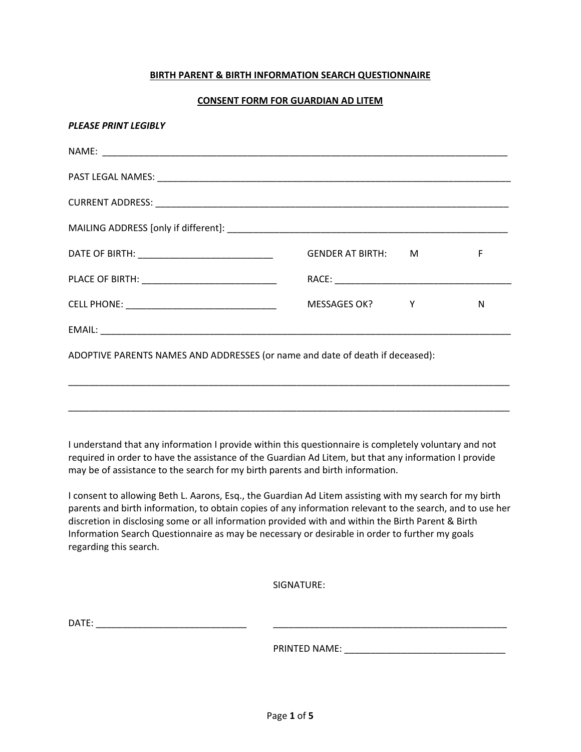### **BIRTH PARENT & BIRTH INFORMATION SEARCH QUESTIONNAIRE**

#### **CONSENT FORM FOR GUARDIAN AD LITEM**

| DATE OF BIRTH: _________________________________ | GENDER AT BIRTH: M                                                            | F |
|--------------------------------------------------|-------------------------------------------------------------------------------|---|
|                                                  |                                                                               |   |
|                                                  | MESSAGES OK? Y                                                                | N |
|                                                  |                                                                               |   |
|                                                  | ADOPTIVE PARENTS NAMES AND ADDRESSES (or name and date of death if deceased): |   |

I understand that any information I provide within this questionnaire is completely voluntary and not required in order to have the assistance of the Guardian Ad Litem, but that any information I provide may be of assistance to the search for my birth parents and birth information.

\_\_\_\_\_\_\_\_\_\_\_\_\_\_\_\_\_\_\_\_\_\_\_\_\_\_\_\_\_\_\_\_\_\_\_\_\_\_\_\_\_\_\_\_\_\_\_\_\_\_\_\_\_\_\_\_\_\_\_\_\_\_\_\_\_\_\_\_\_\_\_\_\_\_\_\_\_\_\_\_\_\_\_\_\_

I consent to allowing Beth L. Aarons, Esq., the Guardian Ad Litem assisting with my search for my birth parents and birth information, to obtain copies of any information relevant to the search, and to use her discretion in disclosing some or all information provided with and within the Birth Parent & Birth Information Search Questionnaire as may be necessary or desirable in order to further my goals regarding this search.

SIGNATURE:

DATE: \_\_\_\_\_\_\_\_\_\_\_\_\_\_\_\_\_\_\_\_\_\_\_\_\_\_\_\_\_ \_\_\_\_\_\_\_\_\_\_\_\_\_\_\_\_\_\_\_\_\_\_\_\_\_\_\_\_\_\_\_\_\_\_\_\_\_\_\_\_\_\_\_\_\_

PRINTED NAME: \_\_\_\_\_\_\_\_\_\_\_\_\_\_\_\_\_\_\_\_\_\_\_\_\_\_\_\_\_\_\_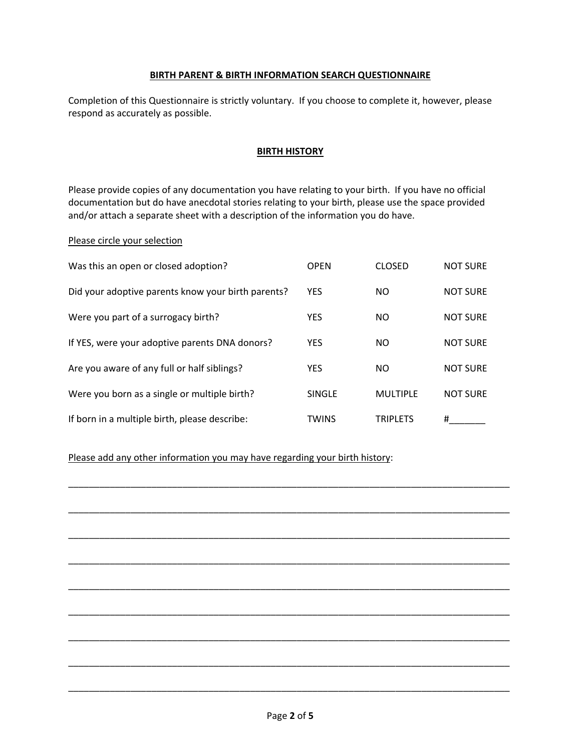### **BIRTH PARENT & BIRTH INFORMATION SEARCH QUESTIONNAIRE**

Completion of this Questionnaire is strictly voluntary. If you choose to complete it, however, please respond as accurately as possible.

### **BIRTH HISTORY**

Please provide copies of any documentation you have relating to your birth. If you have no official documentation but do have anecdotal stories relating to your birth, please use the space provided and/or attach a separate sheet with a description of the information you do have.

### Please circle your selection

| Was this an open or closed adoption?               | <b>OPEN</b>   | <b>CLOSED</b>   | <b>NOT SURE</b> |
|----------------------------------------------------|---------------|-----------------|-----------------|
| Did your adoptive parents know your birth parents? | <b>YES</b>    | NO.             | <b>NOT SURE</b> |
| Were you part of a surrogacy birth?                | <b>YES</b>    | NO.             | <b>NOT SURE</b> |
| If YES, were your adoptive parents DNA donors?     | <b>YES</b>    | NO.             | <b>NOT SURE</b> |
| Are you aware of any full or half siblings?        | <b>YES</b>    | NO.             | <b>NOT SURE</b> |
| Were you born as a single or multiple birth?       | <b>SINGLE</b> | <b>MULTIPLE</b> | <b>NOT SURE</b> |
| If born in a multiple birth, please describe:      | <b>TWINS</b>  | <b>TRIPLETS</b> | #               |

\_\_\_\_\_\_\_\_\_\_\_\_\_\_\_\_\_\_\_\_\_\_\_\_\_\_\_\_\_\_\_\_\_\_\_\_\_\_\_\_\_\_\_\_\_\_\_\_\_\_\_\_\_\_\_\_\_\_\_\_\_\_\_\_\_\_\_\_\_\_\_\_\_\_\_\_\_\_\_\_\_\_\_\_\_

\_\_\_\_\_\_\_\_\_\_\_\_\_\_\_\_\_\_\_\_\_\_\_\_\_\_\_\_\_\_\_\_\_\_\_\_\_\_\_\_\_\_\_\_\_\_\_\_\_\_\_\_\_\_\_\_\_\_\_\_\_\_\_\_\_\_\_\_\_\_\_\_\_\_\_\_\_\_\_\_\_\_\_\_\_

\_\_\_\_\_\_\_\_\_\_\_\_\_\_\_\_\_\_\_\_\_\_\_\_\_\_\_\_\_\_\_\_\_\_\_\_\_\_\_\_\_\_\_\_\_\_\_\_\_\_\_\_\_\_\_\_\_\_\_\_\_\_\_\_\_\_\_\_\_\_\_\_\_\_\_\_\_\_\_\_\_\_\_\_\_

\_\_\_\_\_\_\_\_\_\_\_\_\_\_\_\_\_\_\_\_\_\_\_\_\_\_\_\_\_\_\_\_\_\_\_\_\_\_\_\_\_\_\_\_\_\_\_\_\_\_\_\_\_\_\_\_\_\_\_\_\_\_\_\_\_\_\_\_\_\_\_\_\_\_\_\_\_\_\_\_\_\_\_\_\_

\_\_\_\_\_\_\_\_\_\_\_\_\_\_\_\_\_\_\_\_\_\_\_\_\_\_\_\_\_\_\_\_\_\_\_\_\_\_\_\_\_\_\_\_\_\_\_\_\_\_\_\_\_\_\_\_\_\_\_\_\_\_\_\_\_\_\_\_\_\_\_\_\_\_\_\_\_\_\_\_\_\_\_\_\_

\_\_\_\_\_\_\_\_\_\_\_\_\_\_\_\_\_\_\_\_\_\_\_\_\_\_\_\_\_\_\_\_\_\_\_\_\_\_\_\_\_\_\_\_\_\_\_\_\_\_\_\_\_\_\_\_\_\_\_\_\_\_\_\_\_\_\_\_\_\_\_\_\_\_\_\_\_\_\_\_\_\_\_\_\_

\_\_\_\_\_\_\_\_\_\_\_\_\_\_\_\_\_\_\_\_\_\_\_\_\_\_\_\_\_\_\_\_\_\_\_\_\_\_\_\_\_\_\_\_\_\_\_\_\_\_\_\_\_\_\_\_\_\_\_\_\_\_\_\_\_\_\_\_\_\_\_\_\_\_\_\_\_\_\_\_\_\_\_\_\_

\_\_\_\_\_\_\_\_\_\_\_\_\_\_\_\_\_\_\_\_\_\_\_\_\_\_\_\_\_\_\_\_\_\_\_\_\_\_\_\_\_\_\_\_\_\_\_\_\_\_\_\_\_\_\_\_\_\_\_\_\_\_\_\_\_\_\_\_\_\_\_\_\_\_\_\_\_\_\_\_\_\_\_\_\_

\_\_\_\_\_\_\_\_\_\_\_\_\_\_\_\_\_\_\_\_\_\_\_\_\_\_\_\_\_\_\_\_\_\_\_\_\_\_\_\_\_\_\_\_\_\_\_\_\_\_\_\_\_\_\_\_\_\_\_\_\_\_\_\_\_\_\_\_\_\_\_\_\_\_\_\_\_\_\_\_\_\_\_\_\_

## Please add any other information you may have regarding your birth history: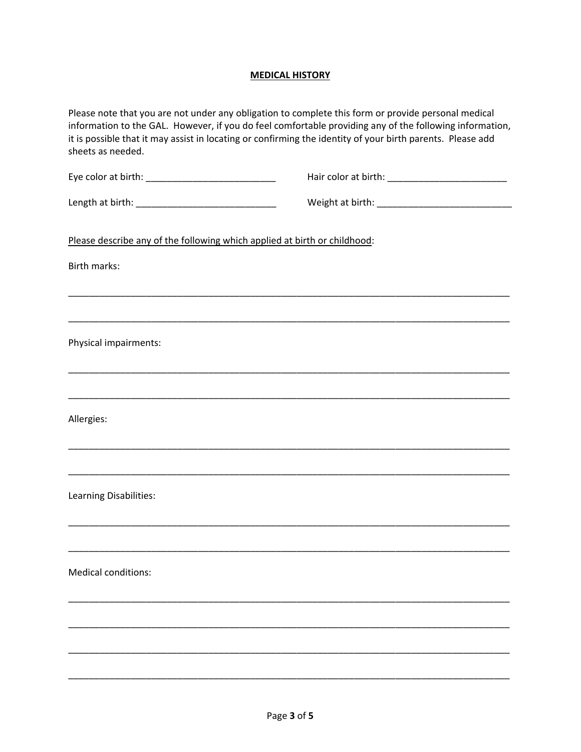# **MEDICAL HISTORY**

| sheets as needed.                                                         | Please note that you are not under any obligation to complete this form or provide personal medical<br>information to the GAL. However, if you do feel comfortable providing any of the following information,<br>it is possible that it may assist in locating or confirming the identity of your birth parents. Please add |
|---------------------------------------------------------------------------|------------------------------------------------------------------------------------------------------------------------------------------------------------------------------------------------------------------------------------------------------------------------------------------------------------------------------|
|                                                                           |                                                                                                                                                                                                                                                                                                                              |
|                                                                           |                                                                                                                                                                                                                                                                                                                              |
| Please describe any of the following which applied at birth or childhood: |                                                                                                                                                                                                                                                                                                                              |
| Birth marks:                                                              |                                                                                                                                                                                                                                                                                                                              |
|                                                                           |                                                                                                                                                                                                                                                                                                                              |
| Physical impairments:                                                     |                                                                                                                                                                                                                                                                                                                              |
|                                                                           |                                                                                                                                                                                                                                                                                                                              |
| Allergies:                                                                |                                                                                                                                                                                                                                                                                                                              |
|                                                                           |                                                                                                                                                                                                                                                                                                                              |
| Learning Disabilities:                                                    |                                                                                                                                                                                                                                                                                                                              |
|                                                                           |                                                                                                                                                                                                                                                                                                                              |
| <b>Medical conditions:</b>                                                |                                                                                                                                                                                                                                                                                                                              |
|                                                                           |                                                                                                                                                                                                                                                                                                                              |
|                                                                           |                                                                                                                                                                                                                                                                                                                              |
|                                                                           |                                                                                                                                                                                                                                                                                                                              |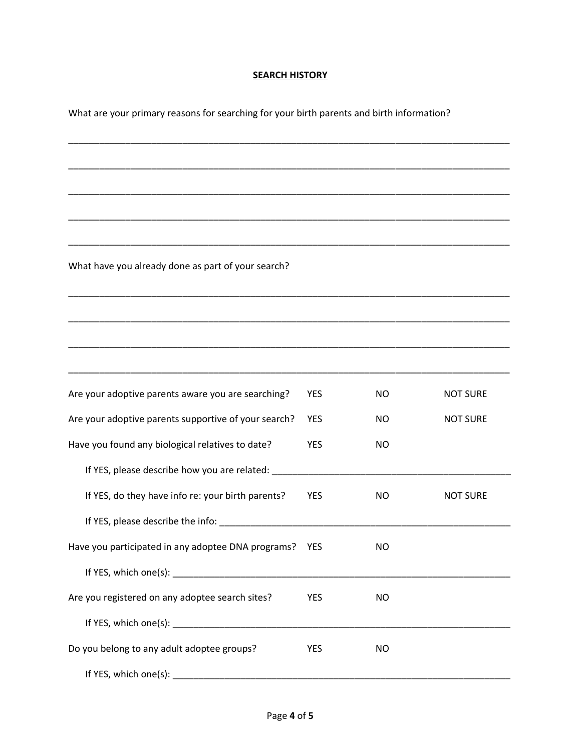### **SEARCH HISTORY**

\_\_\_\_\_\_\_\_\_\_\_\_\_\_\_\_\_\_\_\_\_\_\_\_\_\_\_\_\_\_\_\_\_\_\_\_\_\_\_\_\_\_\_\_\_\_\_\_\_\_\_\_\_\_\_\_\_\_\_\_\_\_\_\_\_\_\_\_\_\_\_\_\_\_\_\_\_\_\_\_\_\_\_\_\_

\_\_\_\_\_\_\_\_\_\_\_\_\_\_\_\_\_\_\_\_\_\_\_\_\_\_\_\_\_\_\_\_\_\_\_\_\_\_\_\_\_\_\_\_\_\_\_\_\_\_\_\_\_\_\_\_\_\_\_\_\_\_\_\_\_\_\_\_\_\_\_\_\_\_\_\_\_\_\_\_\_\_\_\_\_

\_\_\_\_\_\_\_\_\_\_\_\_\_\_\_\_\_\_\_\_\_\_\_\_\_\_\_\_\_\_\_\_\_\_\_\_\_\_\_\_\_\_\_\_\_\_\_\_\_\_\_\_\_\_\_\_\_\_\_\_\_\_\_\_\_\_\_\_\_\_\_\_\_\_\_\_\_\_\_\_\_\_\_\_\_

\_\_\_\_\_\_\_\_\_\_\_\_\_\_\_\_\_\_\_\_\_\_\_\_\_\_\_\_\_\_\_\_\_\_\_\_\_\_\_\_\_\_\_\_\_\_\_\_\_\_\_\_\_\_\_\_\_\_\_\_\_\_\_\_\_\_\_\_\_\_\_\_\_\_\_\_\_\_\_\_\_\_\_\_\_

\_\_\_\_\_\_\_\_\_\_\_\_\_\_\_\_\_\_\_\_\_\_\_\_\_\_\_\_\_\_\_\_\_\_\_\_\_\_\_\_\_\_\_\_\_\_\_\_\_\_\_\_\_\_\_\_\_\_\_\_\_\_\_\_\_\_\_\_\_\_\_\_\_\_\_\_\_\_\_\_\_\_\_\_\_

\_\_\_\_\_\_\_\_\_\_\_\_\_\_\_\_\_\_\_\_\_\_\_\_\_\_\_\_\_\_\_\_\_\_\_\_\_\_\_\_\_\_\_\_\_\_\_\_\_\_\_\_\_\_\_\_\_\_\_\_\_\_\_\_\_\_\_\_\_\_\_\_\_\_\_\_\_\_\_\_\_\_\_\_\_

\_\_\_\_\_\_\_\_\_\_\_\_\_\_\_\_\_\_\_\_\_\_\_\_\_\_\_\_\_\_\_\_\_\_\_\_\_\_\_\_\_\_\_\_\_\_\_\_\_\_\_\_\_\_\_\_\_\_\_\_\_\_\_\_\_\_\_\_\_\_\_\_\_\_\_\_\_\_\_\_\_\_\_\_\_

\_\_\_\_\_\_\_\_\_\_\_\_\_\_\_\_\_\_\_\_\_\_\_\_\_\_\_\_\_\_\_\_\_\_\_\_\_\_\_\_\_\_\_\_\_\_\_\_\_\_\_\_\_\_\_\_\_\_\_\_\_\_\_\_\_\_\_\_\_\_\_\_\_\_\_\_\_\_\_\_\_\_\_\_\_

What are your primary reasons for searching for your birth parents and birth information?

What have you already done as part of your search?

| Are your adoptive parents aware you are searching?                                                                                                                                                                             | <b>YES</b> | NO.            | <b>NOT SURE</b> |
|--------------------------------------------------------------------------------------------------------------------------------------------------------------------------------------------------------------------------------|------------|----------------|-----------------|
| Are your adoptive parents supportive of your search?                                                                                                                                                                           | <b>YES</b> | NO.            | <b>NOT SURE</b> |
| Have you found any biological relatives to date?                                                                                                                                                                               | <b>YES</b> | N <sub>O</sub> |                 |
| If YES, please describe how you are related: ___________________________________                                                                                                                                               |            |                |                 |
| If YES, do they have info re: your birth parents?                                                                                                                                                                              | <b>YES</b> | NO.            | <b>NOT SURE</b> |
|                                                                                                                                                                                                                                |            |                |                 |
| Have you participated in any adoptee DNA programs? YES                                                                                                                                                                         |            | NO.            |                 |
|                                                                                                                                                                                                                                |            |                |                 |
| Are you registered on any adoptee search sites?                                                                                                                                                                                | <b>YES</b> | NO.            |                 |
| If YES, which one(s): Note that the state of the state of the state of the state of the state of the state of the state of the state of the state of the state of the state of the state of the state of the state of the stat |            |                |                 |
| Do you belong to any adult adoptee groups?                                                                                                                                                                                     | <b>YES</b> | N <sub>O</sub> |                 |
| If YES, which one(s): Note that the set of the set of the set of the set of the set of the set of the set of the set of the set of the set of the set of the set of the set of the set of the set of the set of the set of the |            |                |                 |